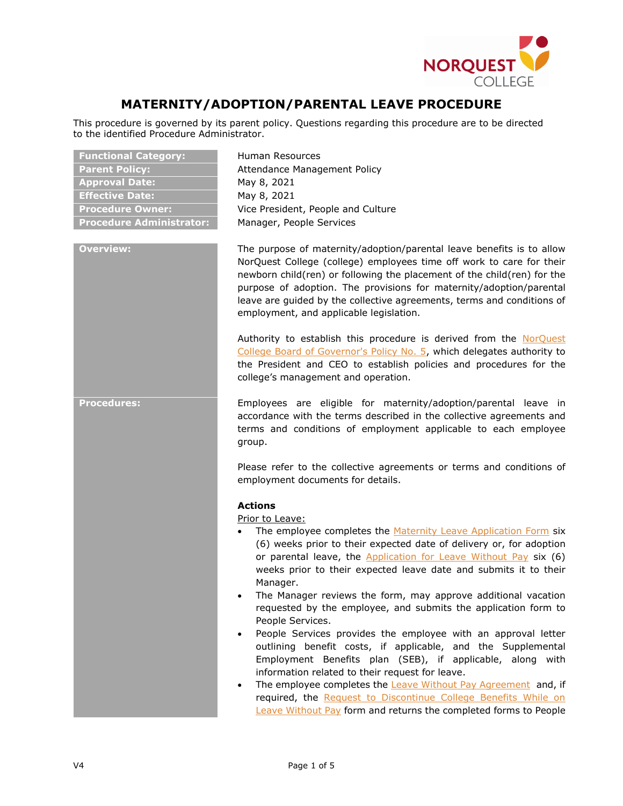

# **MATERNITY/ADOPTION/PARENTAL LEAVE PROCEDURE**

This procedure is governed by its parent policy. Questions regarding this procedure are to be directed to the identified Procedure Administrator.

| <b>Functional Category:</b>     |
|---------------------------------|
| <b>Parent Policy:</b>           |
| <b>Approval Date:</b>           |
| <b>Effective Date:</b>          |
| <b>Procedure Owner:</b>         |
| <b>Procedure Administrator:</b> |

**Functional Category:** Human Resources Attendance Management Policy **Approval Date:** May 8, 2021 **Effective Date:** May 8, 2021 Vice President, People and Culture **Manager, People Services** 

**Overview:** The purpose of maternity/adoption/parental leave benefits is to allow NorQuest College (college) employees time off work to care for their newborn child(ren) or following the placement of the child(ren) for the purpose of adoption. The provisions for maternity/adoption/parental leave are guided by the collective agreements, terms and conditions of employment, and applicable legislation.

> Authority to establish this procedure is derived from the [NorQuest](https://www.norquest.ca/NorquestCollege/media/pdf/about-us/board/policies-procedures/05-Board-Policy_Delegate_authority_to_President.pdf)  [College Board of Governor's Policy No. 5,](https://www.norquest.ca/NorquestCollege/media/pdf/about-us/board/policies-procedures/05-Board-Policy_Delegate_authority_to_President.pdf) which delegates authority to the President and CEO to establish policies and procedures for the college's management and operation.

**Procedures:** Employees are eligible for maternity/adoption/parental leave in accordance with the terms described in the collective agreements and terms and conditions of employment applicable to each employee group.

> Please refer to the collective agreements or terms and conditions of employment documents for details.

#### **Actions**

Prior to Leave:

- The employee completes the [Maternity Leave Application Form](https://theq.norquest.ca/Departments/People-and-Culture/Public-Documents/Forms/Maternity-Leave-Application.aspx) six (6) weeks prior to their expected date of delivery or, for adoption or parental leave, the [Application for Leave Without Pay](https://theq.norquest.ca/Departments/People-and-Culture/Public-Documents/Forms/Leave-Without-Pay-Application.aspx) six (6) weeks prior to their expected leave date and submits it to their Manager.
- The Manager reviews the form, may approve additional vacation requested by the employee, and submits the application form to People Services.
- People Services provides the employee with an approval letter outlining benefit costs, if applicable, and the Supplemental Employment Benefits plan (SEB), if applicable, along with information related to their request for leave.
- The employee completes the **[Leave Without Pay Agreement](https://theq.norquest.ca/Departments/People-and-Culture/Public-Documents/Forms/Leave-Without-Pay-Agreement.aspx)** and, if required, the Request to Discontinue College Benefits While on [Leave Without Pay](https://theq.norquest.ca/Departments/People-and-Culture/Public-Documents/Forms/Request-To-Discontinue-College-Benefits-Form.aspx) form and returns the completed forms to People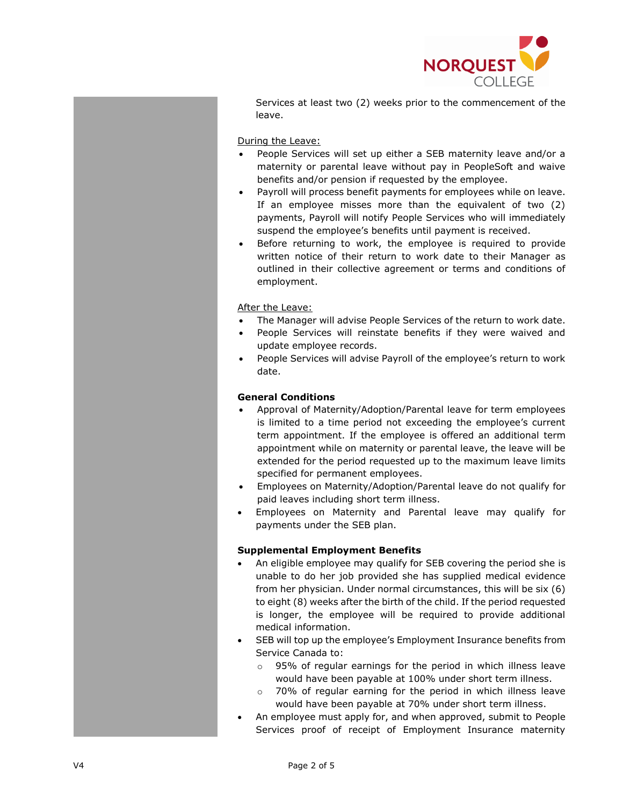

Services at least two (2) weeks prior to the commencement of the leave.

During the Leave:

- People Services will set up either a SEB maternity leave and/or a maternity or parental leave without pay in PeopleSoft and waive benefits and/or pension if requested by the employee.
- Payroll will process benefit payments for employees while on leave. If an employee misses more than the equivalent of two (2) payments, Payroll will notify People Services who will immediately suspend the employee's benefits until payment is received.
- Before returning to work, the employee is required to provide written notice of their return to work date to their Manager as outlined in their collective agreement or terms and conditions of employment.

After the Leave:

- The Manager will advise People Services of the return to work date.
- People Services will reinstate benefits if they were waived and update employee records.
- People Services will advise Payroll of the employee's return to work date.

## **General Conditions**

- Approval of Maternity/Adoption/Parental leave for term employees is limited to a time period not exceeding the employee's current term appointment. If the employee is offered an additional term appointment while on maternity or parental leave, the leave will be extended for the period requested up to the maximum leave limits specified for permanent employees.
- Employees on Maternity/Adoption/Parental leave do not qualify for paid leaves including short term illness.
- Employees on Maternity and Parental leave may qualify for payments under the SEB plan.

#### **Supplemental Employment Benefits**

- An eligible employee may qualify for SEB covering the period she is unable to do her job provided she has supplied medical evidence from her physician. Under normal circumstances, this will be six (6) to eight (8) weeks after the birth of the child. If the period requested is longer, the employee will be required to provide additional medical information.
- SEB will top up the employee's Employment Insurance benefits from Service Canada to:
	- o 95% of regular earnings for the period in which illness leave would have been payable at 100% under short term illness.
	- o 70% of regular earning for the period in which illness leave would have been payable at 70% under short term illness.
- An employee must apply for, and when approved, submit to People Services proof of receipt of Employment Insurance maternity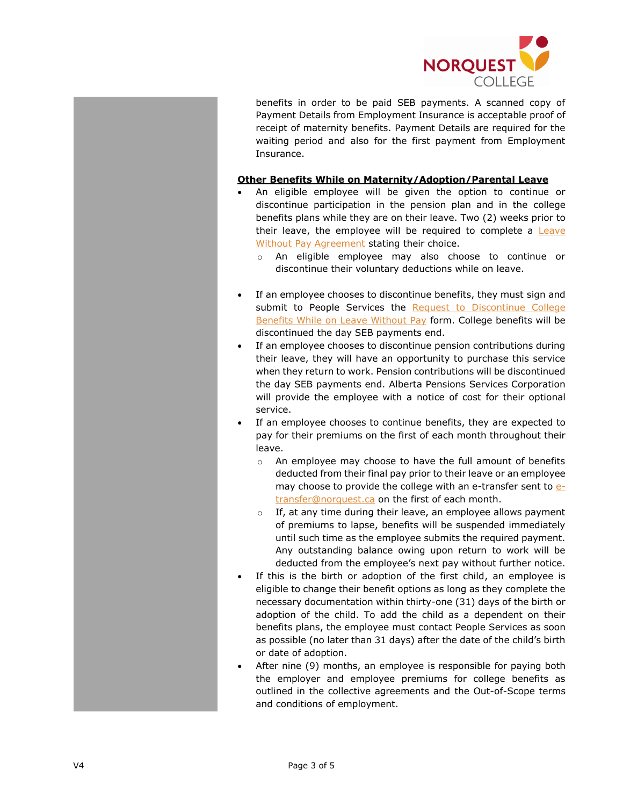

benefits in order to be paid SEB payments. A scanned copy of Payment Details from Employment Insurance is acceptable proof of receipt of maternity benefits. Payment Details are required for the waiting period and also for the first payment from Employment Insurance.

### **Other Benefits While on Maternity/Adoption/Parental Leave**

- An eligible employee will be given the option to continue or discontinue participation in the pension plan and in the college benefits plans while they are on their leave. Two (2) weeks prior to their leave, the employee will be required to complete a **Leave** [Without Pay Agreement](https://theq.norquest.ca/Departments/People-and-Culture/Public-Documents/Forms/Leave-Without-Pay-Agreement.aspx) stating their choice.
	- o An eligible employee may also choose to continue or discontinue their voluntary deductions while on leave.
- If an employee chooses to discontinue benefits, they must sign and submit to People Services the Request to Discontinue College [Benefits While on Leave Without Pay](https://theq.norquest.ca/Departments/People-and-Culture/Public-Documents/Forms/Request-To-Discontinue-College-Benefits-Form.aspx) form. College benefits will be discontinued the day SEB payments end.
- If an employee chooses to discontinue pension contributions during their leave, they will have an opportunity to purchase this service when they return to work. Pension contributions will be discontinued the day SEB payments end. Alberta Pensions Services Corporation will provide the employee with a notice of cost for their optional service.
- If an employee chooses to continue benefits, they are expected to pay for their premiums on the first of each month throughout their leave.
	- o An employee may choose to have the full amount of benefits deducted from their final pay prior to their leave or an employee may choose to provide the college with an e-transfer sent to [e](mailto:e-transfer@norquest.ca)[transfer@norquest.ca](mailto:e-transfer@norquest.ca) on the first of each month.
	- If, at any time during their leave, an employee allows payment of premiums to lapse, benefits will be suspended immediately until such time as the employee submits the required payment. Any outstanding balance owing upon return to work will be deducted from the employee's next pay without further notice.
- If this is the birth or adoption of the first child, an employee is eligible to change their benefit options as long as they complete the necessary documentation within thirty-one (31) days of the birth or adoption of the child. To add the child as a dependent on their benefits plans, the employee must contact People Services as soon as possible (no later than 31 days) after the date of the child's birth or date of adoption.
- After nine (9) months, an employee is responsible for paying both the employer and employee premiums for college benefits as outlined in the collective agreements and the Out-of-Scope terms and conditions of employment.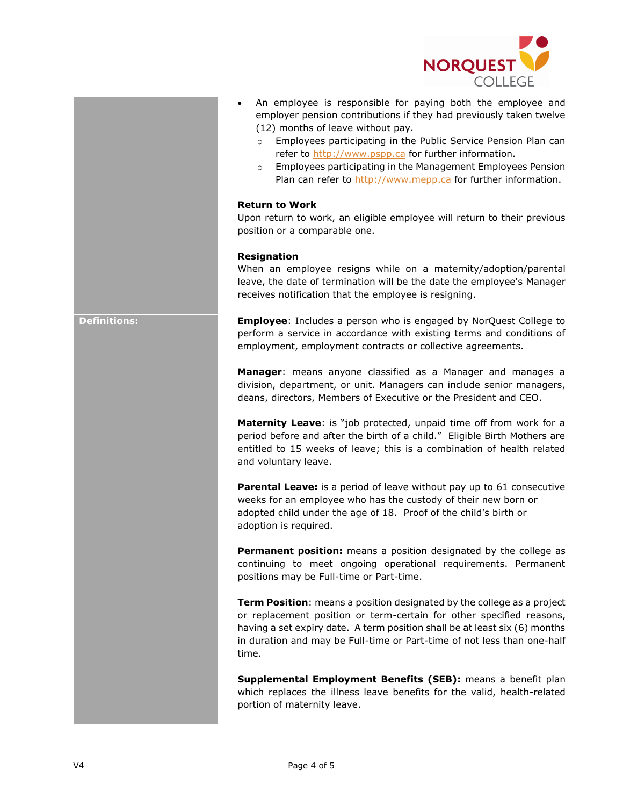

- An employee is responsible for paying both the employee and employer pension contributions if they had previously taken twelve (12) months of leave without pay.
	- o Employees participating in the Public Service Pension Plan can refer to [http://www.pspp.ca](http://www.pspp.ca/) for further information.
	- o Employees participating in the Management Employees Pension Plan can refer to [http://www.mepp.ca](http://www.mepp.ca/) for further information.

### **Return to Work**

Upon return to work, an eligible employee will return to their previous position or a comparable one.

#### **Resignation**

When an employee resigns while on a maternity/adoption/parental leave, the date of termination will be the date the employee's Manager receives notification that the employee is resigning.

**Definitions: Employee**: Includes a person who is engaged by NorQuest College to perform a service in accordance with existing terms and conditions of employment, employment contracts or collective agreements.

> **Manager**: means anyone classified as a Manager and manages a division, department, or unit. Managers can include senior managers, deans, directors, Members of Executive or the President and CEO.

> **Maternity Leave**: is "job protected, unpaid time off from work for a period before and after the birth of a child." Eligible Birth Mothers are entitled to 15 weeks of leave; this is a combination of health related and voluntary leave.

> **Parental Leave:** is a period of leave without pay up to 61 consecutive weeks for an employee who has the custody of their new born or adopted child under the age of 18. Proof of the child's birth or adoption is required.

> **Permanent position:** means a position designated by the college as continuing to meet ongoing operational requirements. Permanent positions may be Full-time or Part-time.

> **Term Position**: means a position designated by the college as a project or replacement position or term-certain for other specified reasons, having a set expiry date. A term position shall be at least six (6) months in duration and may be Full-time or Part-time of not less than one-half time.

> **Supplemental Employment Benefits (SEB):** means a benefit plan which replaces the illness leave benefits for the valid, health-related portion of maternity leave.